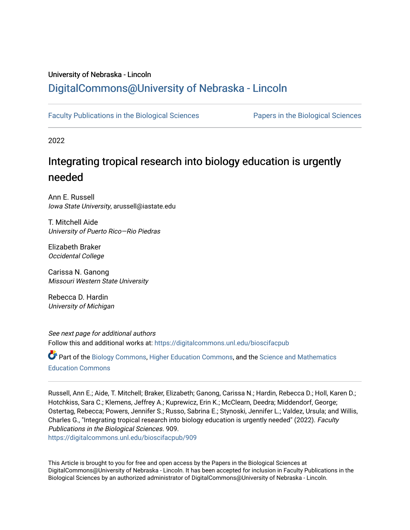## University of Nebraska - Lincoln [DigitalCommons@University of Nebraska - Lincoln](https://digitalcommons.unl.edu/)

[Faculty Publications in the Biological Sciences](https://digitalcommons.unl.edu/bioscifacpub) [Papers in the Biological Sciences](https://digitalcommons.unl.edu/bioscipapers) 

2022

# Integrating tropical research into biology education is urgently needed

Ann E. Russell Iowa State University, arussell@iastate.edu

T. Mitchell Aide University of Puerto Rico—Rio Piedras

Elizabeth Braker Occidental College

Carissa N. Ganong Missouri Western State University

Rebecca D. Hardin University of Michigan

See next page for additional authors Follow this and additional works at: [https://digitalcommons.unl.edu/bioscifacpub](https://digitalcommons.unl.edu/bioscifacpub?utm_source=digitalcommons.unl.edu%2Fbioscifacpub%2F909&utm_medium=PDF&utm_campaign=PDFCoverPages) 

Part of the [Biology Commons,](https://network.bepress.com/hgg/discipline/41?utm_source=digitalcommons.unl.edu%2Fbioscifacpub%2F909&utm_medium=PDF&utm_campaign=PDFCoverPages) [Higher Education Commons,](https://network.bepress.com/hgg/discipline/1245?utm_source=digitalcommons.unl.edu%2Fbioscifacpub%2F909&utm_medium=PDF&utm_campaign=PDFCoverPages) and the [Science and Mathematics](https://network.bepress.com/hgg/discipline/800?utm_source=digitalcommons.unl.edu%2Fbioscifacpub%2F909&utm_medium=PDF&utm_campaign=PDFCoverPages)  [Education Commons](https://network.bepress.com/hgg/discipline/800?utm_source=digitalcommons.unl.edu%2Fbioscifacpub%2F909&utm_medium=PDF&utm_campaign=PDFCoverPages) 

Russell, Ann E.; Aide, T. Mitchell; Braker, Elizabeth; Ganong, Carissa N.; Hardin, Rebecca D.; Holl, Karen D.; Hotchkiss, Sara C.; Klemens, Jeffrey A.; Kuprewicz, Erin K.; McClearn, Deedra; Middendorf, George; Ostertag, Rebecca; Powers, Jennifer S.; Russo, Sabrina E.; Stynoski, Jennifer L.; Valdez, Ursula; and Willis, Charles G., "Integrating tropical research into biology education is urgently needed" (2022). Faculty Publications in the Biological Sciences. 909.

[https://digitalcommons.unl.edu/bioscifacpub/909](https://digitalcommons.unl.edu/bioscifacpub/909?utm_source=digitalcommons.unl.edu%2Fbioscifacpub%2F909&utm_medium=PDF&utm_campaign=PDFCoverPages) 

This Article is brought to you for free and open access by the Papers in the Biological Sciences at DigitalCommons@University of Nebraska - Lincoln. It has been accepted for inclusion in Faculty Publications in the Biological Sciences by an authorized administrator of DigitalCommons@University of Nebraska - Lincoln.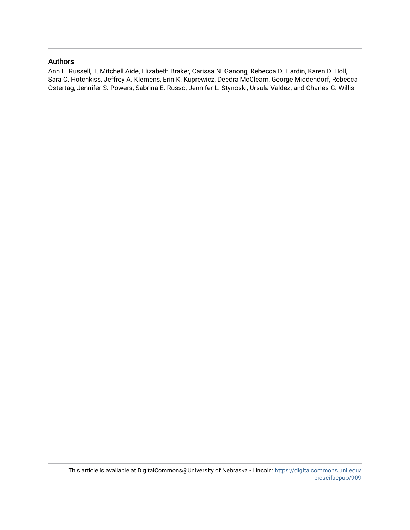### Authors

Ann E. Russell, T. Mitchell Aide, Elizabeth Braker, Carissa N. Ganong, Rebecca D. Hardin, Karen D. Holl, Sara C. Hotchkiss, Jeffrey A. Klemens, Erin K. Kuprewicz, Deedra McClearn, George Middendorf, Rebecca Ostertag, Jennifer S. Powers, Sabrina E. Russo, Jennifer L. Stynoski, Ursula Valdez, and Charles G. Willis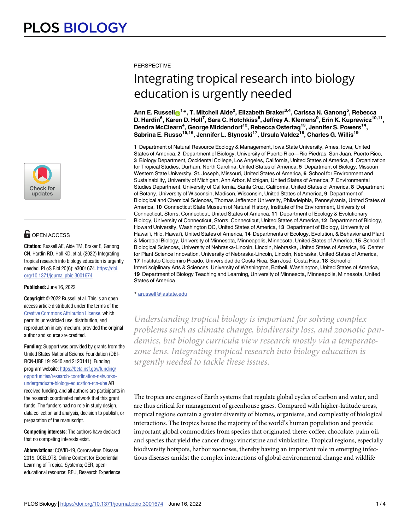

## **G** OPEN ACCESS

**Citation:** Russell AE, Aide TM, Braker E, Ganong CN, Hardin RD, Holl KD, et al. (2022) Integrating tropical research into biology education is urgently needed. PLoS Biol 20(6): e3001674. [https://doi.](https://doi.org/10.1371/journal.pbio.3001674) [org/10.1371/journal.pbio.3001674](https://doi.org/10.1371/journal.pbio.3001674)

#### **Published:** June 16, 2022

**Copyright:** © 2022 Russell et al. This is an open access article distributed under the terms of the Creative Commons [Attribution](http://creativecommons.org/licenses/by/4.0/) License, which permits unrestricted use, distribution, and reproduction in any medium, provided the original author and source are credited.

**Funding:** Support was provided by grants from the United States National Science Foundation (DBI-RCN-UBE 1919640 and 2120141). Funding program website: [https://beta.nsf.gov/funding/](https://beta.nsf.gov/funding/opportunities/research-coordination-networks-undergraduate-biology-education-rcn-ube) [opportunities/research-coordination-networks](https://beta.nsf.gov/funding/opportunities/research-coordination-networks-undergraduate-biology-education-rcn-ube)[undergraduate-biology-education-rcn-ube](https://beta.nsf.gov/funding/opportunities/research-coordination-networks-undergraduate-biology-education-rcn-ube) AR received funding, and all authors are participants in the research coordinated network that this grant funds. The funders had no role in study design, data collection and analysis, decision to publish, or preparation of the manuscript.

**Competing interests:** The authors have declared that no competing interests exist.

2019; OCELOTS, Online Content for Experiential Learning of Tropical Systems; OER, openeducational resource; REU, Research Experience **PERSPECTIVE** 

# Integrating tropical research into biology education is urgently needed

 $\Lambda$ nn **E.** Russell $\textbf{O}^\text{1*}$ , T. Mitchell Aide<sup>2</sup>, Elizabeth Braker $^{3,4}$ , Carissa N. Ganong $^5$ , Rebecca **D. Hardin6 , Karen D. Holl7 , Sara C. Hotchkiss8 , Jeffrey A. Klemens9 , Erin K. Kuprewicz10,11, Deedra McClearn4 , George Middendorf12, Rebecca Ostertag13, Jennifer S. Powers14, Sabrina E. Russo15,16, Jennifer L. Stynoski17, Ursula Valdez18, Charles G. Willis19**

**1** Department of Natural Resource Ecology & Management, Iowa State University, Ames, Iowa, United States of America, **2** Department of Biology, University of Puerto Rico—Rio Piedras, San Juan, Puerto Rico, **3** Biology Department, Occidental College, Los Angeles, California, United States of America, **4** Organization for Tropical Studies, Durham, North Carolina, United States of America, **5** Department of Biology, Missouri Western State University, St. Joseph, Missouri, United States of America, **6** School for Environment and Sustainability, University of Michigan, Ann Arbor, Michigan, United States of America, **7** Environmental Studies Department, University of California, Santa Cruz, California, United States of America, **8** Department of Botany, University of Wisconsin, Madison, Wisconsin, United States of America, **9** Department of Biological and Chemical Sciences, Thomas Jefferson University, Philadelphia, Pennsylvania, United States of America, **10** Connecticut State Museum of Natural History, Institute of the Environment, University of Connecticut, Storrs, Connecticut, United States of America, **11** Department of Ecology & Evolutionary Biology, University of Connecticut, Storrs, Connecticut, United States of America, **12** Department of Biology, Howard University, Washington DC, United States of America, **13** Department of Biology, University of Hawai'i, Hilo, Hawai'i, United States of America, **14** Departments of Ecology, Evolution, & Behavior and Plant & Microbial Biology, University of Minnesota, Minneapolis, Minnesota, United States of America, **15** School of Biological Sciences, University of Nebraska-Lincoln, Lincoln, Nebraska, United States of America, **16** Center for Plant Science Innovation, University of Nebraska-Lincoln, Lincoln, Nebraska, United States of America, **17** Instituto Clodomiro Picado, Universidad de Costa Rica, San José, Costa Rica, 18 School of Interdisciplinary Arts & Sciences, University of Washington, Bothell, Washington, United States of America, **19** Department of Biology Teaching and Learning, University of Minnesota, Minneapolis, Minnesota, United States of America

\* arussell@iastate.edu

*Understanding tropical biology is important for solving complex problems such as climate change, biodiversity loss, and zoonotic pandemics, but biology curricula view research mostly via a temperatezone lens. Integrating tropical research into biology education is urgently needed to tackle these issues.*

The tropics are engines of Earth systems that regulate global cycles of carbon and water, and are thus critical for management of greenhouse gases. Compared with higher-latitude areas, tropical regions contain a greater diversity of biomes, organisms, and complexity of biological interactions. The tropics house the majority of the world's human population and provide important global commodities from species that originated there: coffee, chocolate, palm oil, and species that yield the cancer drugs vincristine and vinblastine. Tropical regions, especially Abbreviations: COVID-19, Coronavirus Disease biodiversity hotspots, harbor zoonoses, thereby having an important role in emerging infectious diseases amidst the complex interactions of global environmental change and wildlife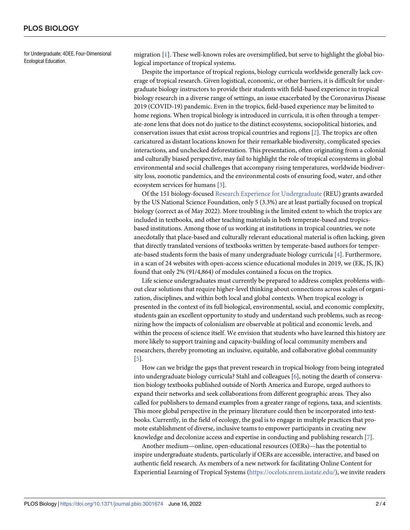<span id="page-3-0"></span>for Undergraduate; 4DEE, Four-Dimensional Ecological Education.

migration [\[1](#page-5-0)]. These well-known roles are oversimplified, but serve to highlight the global biological importance of tropical systems.

Despite the importance of tropical regions, biology curricula worldwide generally lack coverage of tropical research. Given logistical, economic, or other barriers, it is difficult for undergraduate biology instructors to provide their students with field-based experience in tropical biology research in a diverse range of settings, an issue exacerbated by the Coronavirus Disease 2019 (COVID-19) pandemic. Even in the tropics, field-based experience may be limited to home regions. When tropical biology is introduced in curricula, it is often through a temperate-zone lens that does not do justice to the distinct ecosystems, sociopolitical histories, and conservation issues that exist across tropical countries and regions [\[2](#page-5-0)]. The tropics are often caricatured as distant locations known for their remarkable biodiversity, complicated species interactions, and unchecked deforestation. This presentation, often originating from a colonial and culturally biased perspective, may fail to highlight the role of tropical ecosystems in global environmental and social challenges that accompany rising temperatures, worldwide biodiversity loss, zoonotic pandemics, and the environmental costs of ensuring food, water, and other ecosystem services for humans [[3](#page-5-0)].

Of the 151 biology-focused Research Experience for [Undergraduate](https://www.nsf.gov/crssprgm/reu/list_result.jsp?unitid=5047&d-8001259-p=2&showItems=All) (REU) grants awarded by the US National Science Foundation, only 5 (3.3%) are at least partially focused on tropical biology (correct as of May 2022). More troubling is the limited extent to which the tropics are included in textbooks, and other teaching materials in both temperate-based and tropicsbased institutions. Among those of us working at institutions in tropical countries, we note anecdotally that place-based and culturally relevant educational material is often lacking, given that directly translated versions of textbooks written by temperate-based authors for temperate-based students form the basis of many undergraduate biology curricula [[4\]](#page-5-0). Furthermore, in a scan of 24 websites with open-access science educational modules in 2019, we (EK, JS, JK) found that only 2% (91/4,864) of modules contained a focus on the tropics.

Life science undergraduates must currently be prepared to address complex problems without clear solutions that require higher-level thinking about connections across scales of organization, disciplines, and within both local and global contexts. When tropical ecology is presented in the context of its full biological, environmental, social, and economic complexity, students gain an excellent opportunity to study and understand such problems, such as recognizing how the impacts of colonialism are observable at political and economic levels, and within the process of science itself. We envision that students who have learned this history are more likely to support training and capacity-building of local community members and researchers, thereby promoting an inclusive, equitable, and collaborative global community [\[5](#page-5-0)].

How can we bridge the gaps that prevent research in tropical biology from being integrated into undergraduate biology curricula? Stahl and colleagues [[6](#page-5-0)], noting the dearth of conservation biology textbooks published outside of North America and Europe, urged authors to expand their networks and seek collaborations from different geographic areas. They also called for publishers to demand examples from a greater range of regions, taxa, and scientists. This more global perspective in the primary literature could then be incorporated into textbooks. Currently, in the field of ecology, the goal is to engage in multiple practices that promote establishment of diverse, inclusive teams to empower participants in creating new knowledge and decolonize access and expertise in conducting and publishing research [\[7\]](#page-5-0).

Another medium—online, open-educational resources (OERs)—has the potential to inspire undergraduate students, particularly if OERs are accessible, interactive, and based on authentic field research. As members of a new network for facilitating Online Content for Experiential Learning of Tropical Systems [\(https://ocelots.nrem.iastate.edu/\)](https://ocelots.nrem.iastate.edu/), we invite readers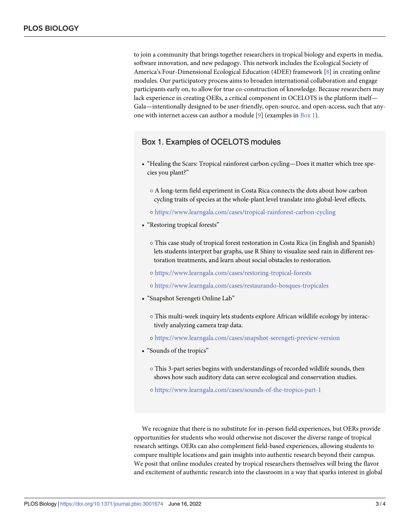<span id="page-4-0"></span>to join a community that brings together researchers in tropical biology and experts in media, software innovation, and new pedagogy. This network includes the Ecological Society of America's Four-Dimensional Ecological Education (4DEE) framework [\[8\]](#page-5-0) in creating online modules. Our participatory process aims to broaden international collaboration and engage participants early on, to allow for true co-construction of knowledge. Because researchers may lack experience in creating OERs, a critical component in OCELOTS is the platform itself— Gala—intentionally designed to be user-friendly, open-source, and open-access, such that anyone with internet access can author a module [\[9\]](#page-5-0) (examples in Box 1).

### Box 1. Examples of OCELOTS modules

- "Healing the Scars: Tropical rainforest carbon cycling—Does it matter which tree species you plant?"
	- � A long-term field experiment in Costa Rica connects the dots about how carbon cycling traits of species at the whole-plant level translate into global-level effects.
	- � <https://www.learngala.com/cases/tropical-rainforest-carbon-cycling>
- "Restoring tropical forests"
	- � This case study of tropical forest restoration in Costa Rica (in English and Spanish) lets students interpret bar graphs, use R Shiny to visualize seed rain in different restoration treatments, and learn about social obstacles to restoration.
	- � <https://www.learngala.com/cases/restoring-tropical-forests>
	- � <https://www.learngala.com/cases/restaurando-bosques-tropicales>
- "Snapshot Serengeti Online Lab"
	- � This multi-week inquiry lets students explore African wildlife ecology by interactively analyzing camera trap data.
	- � [https://www.learngala.com/cases/snapshot-serengeti-preview-version](https://doi.org/10.1038/s41586-022-04788-w)
- "Sounds of the tropics"
	- � This 3-part series begins with understandings of recorded wildlife sounds, then shows how such auditory data can serve ecological and conservation studies.
	- � <https://www.learngala.com/cases/sounds-of-the-tropics-part-1>

We recognize that there is no substitute for in-person field experiences, but OERs provide opportunities for students who would otherwise not discover the diverse range of tropical research settings. OERs can also complement field-based experiences, allowing students to compare multiple locations and gain insights into authentic research beyond their campus. We posit that online modules created by tropical researchers themselves will bring the flavor and excitement of authentic research into the classroom in a way that sparks interest in global